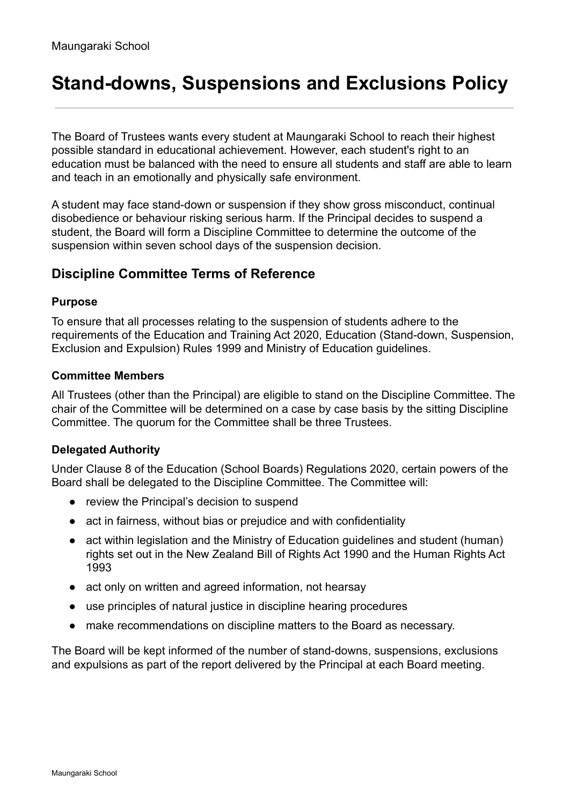# **Stand-downs, Suspensions and Exclusions Policy**

The Board of Trustees wants every student at Maungaraki School to reach their highest possible standard in educational achievement. However, each student's right to an education must be balanced with the need to ensure all students and staff are able to learn and teach in an emotionally and physically safe environment.

A student may face stand-down or suspension if they show gross misconduct, continual disobedience or behaviour risking serious harm. If the Principal decides to suspend a student, the Board will form a Discipline Committee to determine the outcome of the suspension within seven school days of the suspension decision.

## **Discipline Committee Terms of Reference**

#### **Purpose**

To ensure that all processes relating to the suspension of students adhere to the requirements of the Education and Training Act 2020, Education (Stand-down, Suspension, Exclusion and Expulsion) Rules 1999 and Ministry of Education guidelines.

#### **Committee Members**

All Trustees (other than the Principal) are eligible to stand on the Discipline Committee. The chair of the Committee will be determined on a case by case basis by the sitting Discipline Committee. The quorum for the Committee shall be three Trustees.

#### **Delegated Authority**

Under Clause 8 of the Education (School Boards) Regulations 2020, certain powers of the Board shall be delegated to the Discipline Committee. The Committee will:

- review the Principal's decision to suspend
- act in fairness, without bias or prejudice and with confidentiality
- act within legislation and the Ministry of Education guidelines and student (human) rights set out in the New Zealand Bill of Rights Act 1990 and the Human Rights Act 1993
- act only on written and agreed information, not hearsay
- use principles of natural justice in discipline hearing procedures
- make recommendations on discipline matters to the Board as necessary.

The Board will be kept informed of the number of stand-downs, suspensions, exclusions and expulsions as part of the report delivered by the Principal at each Board meeting.